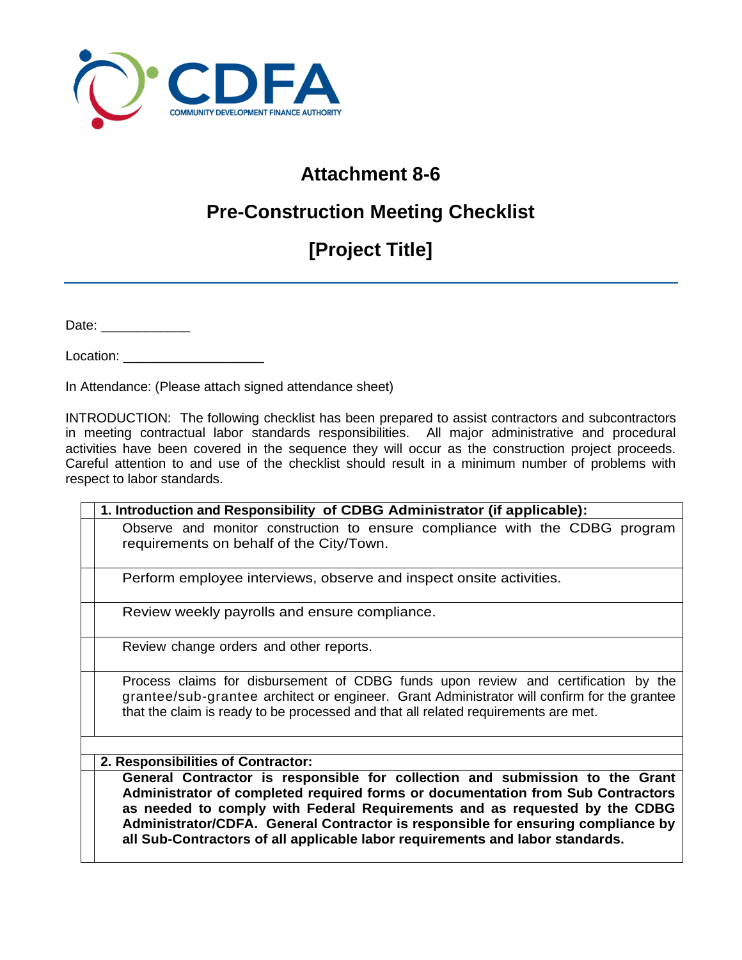

### **Attachment 8-6**

## **Pre-Construction Meeting Checklist**

# **[Project Title]**

Date: \_\_\_\_\_\_\_\_\_\_\_\_

Location: \_\_\_\_\_\_\_\_\_\_\_\_\_\_\_\_\_\_\_

In Attendance: (Please attach signed attendance sheet)

INTRODUCTION: The following checklist has been prepared to assist contractors and subcontractors in meeting contractual labor standards responsibilities. All major administrative and procedural activities have been covered in the sequence they will occur as the construction project proceeds. Careful attention to and use of the checklist should result in a minimum number of problems with respect to labor standards.

| 1. Introduction and Responsibility of CDBG Administrator (if applicable):                                                                                                                                                                                                                                                                                                                                          |
|--------------------------------------------------------------------------------------------------------------------------------------------------------------------------------------------------------------------------------------------------------------------------------------------------------------------------------------------------------------------------------------------------------------------|
| Observe and monitor construction to ensure compliance with the CDBG program<br>requirements on behalf of the City/Town.                                                                                                                                                                                                                                                                                            |
| Perform employee interviews, observe and inspect onsite activities.                                                                                                                                                                                                                                                                                                                                                |
| Review weekly payrolls and ensure compliance.                                                                                                                                                                                                                                                                                                                                                                      |
| Review change orders and other reports.                                                                                                                                                                                                                                                                                                                                                                            |
| Process claims for disbursement of CDBG funds upon review and certification by the<br>grantee/sub-grantee architect or engineer. Grant Administrator will confirm for the grantee<br>that the claim is ready to be processed and that all related requirements are met.                                                                                                                                            |
|                                                                                                                                                                                                                                                                                                                                                                                                                    |
| 2. Responsibilities of Contractor:                                                                                                                                                                                                                                                                                                                                                                                 |
| General Contractor is responsible for collection and submission to the Grant<br>Administrator of completed required forms or documentation from Sub Contractors<br>as needed to comply with Federal Requirements and as requested by the CDBG<br>Administrator/CDFA. General Contractor is responsible for ensuring compliance by<br>all Sub-Contractors of all applicable labor requirements and labor standards. |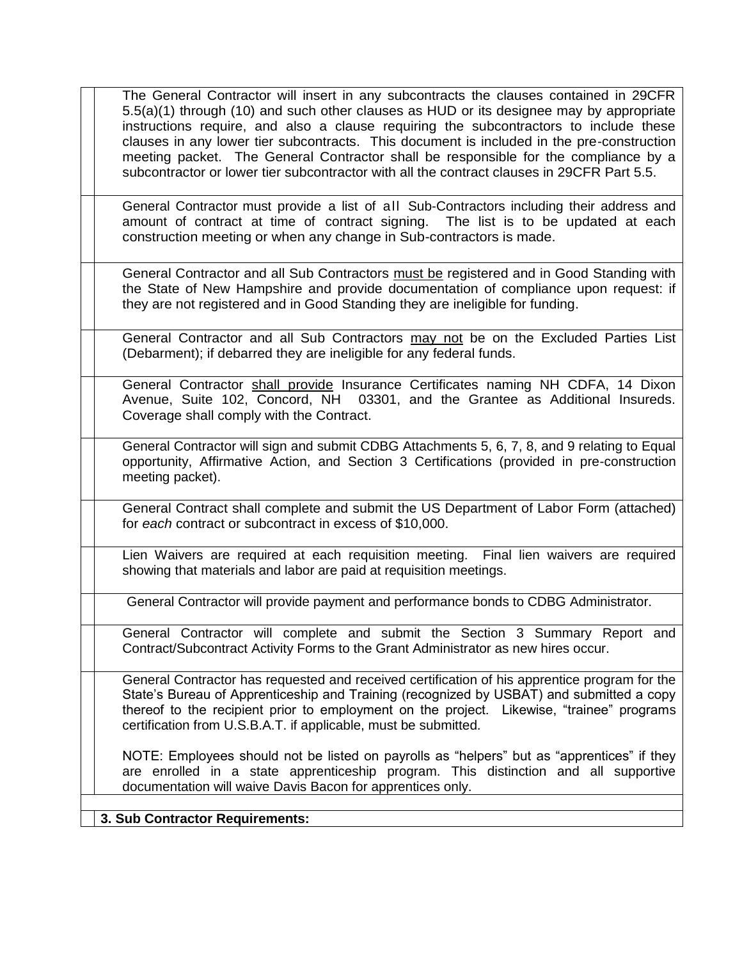| The General Contractor will insert in any subcontracts the clauses contained in 29CFR<br>5.5(a)(1) through (10) and such other clauses as HUD or its designee may by appropriate<br>instructions require, and also a clause requiring the subcontractors to include these<br>clauses in any lower tier subcontracts. This document is included in the pre-construction<br>meeting packet. The General Contractor shall be responsible for the compliance by a<br>subcontractor or lower tier subcontractor with all the contract clauses in 29CFR Part 5.5. |
|-------------------------------------------------------------------------------------------------------------------------------------------------------------------------------------------------------------------------------------------------------------------------------------------------------------------------------------------------------------------------------------------------------------------------------------------------------------------------------------------------------------------------------------------------------------|
| General Contractor must provide a list of all Sub-Contractors including their address and<br>amount of contract at time of contract signing. The list is to be updated at each<br>construction meeting or when any change in Sub-contractors is made.                                                                                                                                                                                                                                                                                                       |
| General Contractor and all Sub Contractors must be registered and in Good Standing with<br>the State of New Hampshire and provide documentation of compliance upon request: if<br>they are not registered and in Good Standing they are ineligible for funding.                                                                                                                                                                                                                                                                                             |
| General Contractor and all Sub Contractors may not be on the Excluded Parties List<br>(Debarment); if debarred they are ineligible for any federal funds.                                                                                                                                                                                                                                                                                                                                                                                                   |
| General Contractor shall provide Insurance Certificates naming NH CDFA, 14 Dixon<br>Avenue, Suite 102, Concord, NH 03301, and the Grantee as Additional Insureds.<br>Coverage shall comply with the Contract.                                                                                                                                                                                                                                                                                                                                               |
| General Contractor will sign and submit CDBG Attachments 5, 6, 7, 8, and 9 relating to Equal<br>opportunity, Affirmative Action, and Section 3 Certifications (provided in pre-construction<br>meeting packet).                                                                                                                                                                                                                                                                                                                                             |
| General Contract shall complete and submit the US Department of Labor Form (attached)<br>for each contract or subcontract in excess of \$10,000.                                                                                                                                                                                                                                                                                                                                                                                                            |
| Lien Waivers are required at each requisition meeting. Final lien waivers are required<br>showing that materials and labor are paid at requisition meetings.                                                                                                                                                                                                                                                                                                                                                                                                |
| General Contractor will provide payment and performance bonds to CDBG Administrator.                                                                                                                                                                                                                                                                                                                                                                                                                                                                        |
| General Contractor will complete and submit the Section 3 Summary Report and<br>Contract/Subcontract Activity Forms to the Grant Administrator as new hires occur.                                                                                                                                                                                                                                                                                                                                                                                          |
| General Contractor has requested and received certification of his apprentice program for the<br>State's Bureau of Apprenticeship and Training (recognized by USBAT) and submitted a copy<br>thereof to the recipient prior to employment on the project. Likewise, "trainee" programs<br>certification from U.S.B.A.T. if applicable, must be submitted.                                                                                                                                                                                                   |
| NOTE: Employees should not be listed on payrolls as "helpers" but as "apprentices" if they<br>are enrolled in a state apprenticeship program. This distinction and all supportive<br>documentation will waive Davis Bacon for apprentices only.                                                                                                                                                                                                                                                                                                             |
| 3. Sub Contractor Requirements:                                                                                                                                                                                                                                                                                                                                                                                                                                                                                                                             |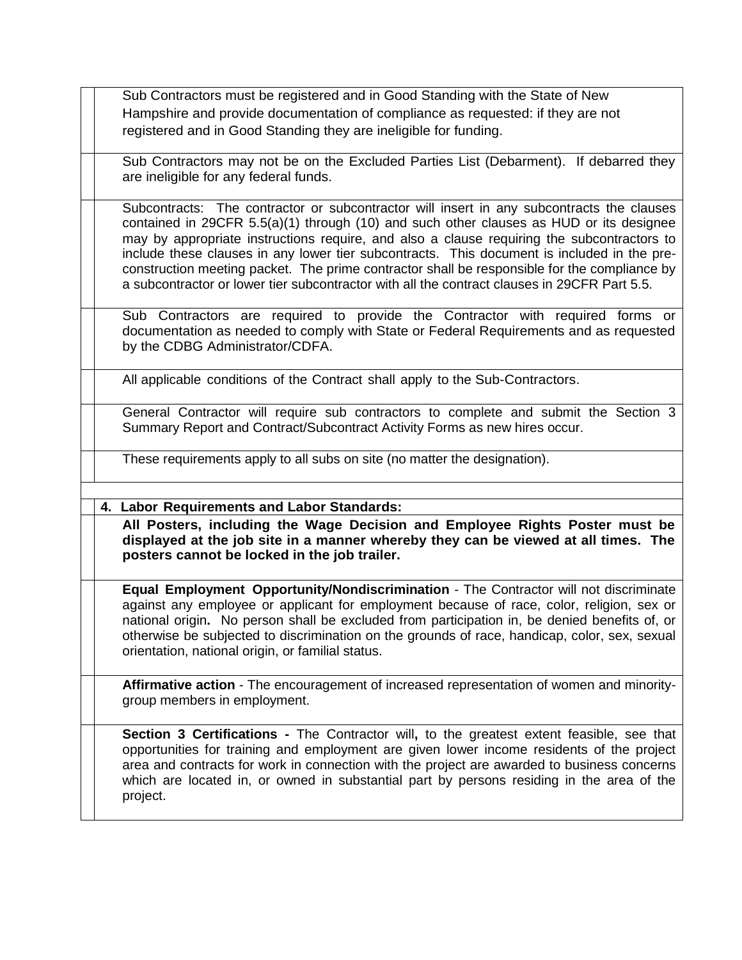Sub Contractors must be registered and in Good Standing with the State of New Hampshire and provide documentation of compliance as requested: if they are not registered and in Good Standing they are ineligible for funding.

Sub Contractors may not be on the Excluded Parties List (Debarment). If debarred they are ineligible for any federal funds.

Subcontracts: The contractor or subcontractor will insert in any subcontracts the clauses contained in 29CFR 5.5(a)(1) through (10) and such other clauses as HUD or its designee may by appropriate instructions require, and also a clause requiring the subcontractors to include these clauses in any lower tier subcontracts. This document is included in the preconstruction meeting packet. The prime contractor shall be responsible for the compliance by a subcontractor or lower tier subcontractor with all the contract clauses in 29CFR Part 5.5.

Sub Contractors are required to provide the Contractor with required forms or documentation as needed to comply with State or Federal Requirements and as requested by the CDBG Administrator/CDFA.

All applicable conditions of the Contract shall apply to the Sub-Contractors.

General Contractor will require sub contractors to complete and submit the Section 3 Summary Report and Contract/Subcontract Activity Forms as new hires occur.

These requirements apply to all subs on site (no matter the designation).

**4. Labor Requirements and Labor Standards:**

**All Posters, including the Wage Decision and Employee Rights Poster must be displayed at the job site in a manner whereby they can be viewed at all times. The posters cannot be locked in the job trailer.** 

**Equal Employment Opportunity/Nondiscrimination** - The Contractor will not discriminate against any employee or applicant for employment because of race, color, religion, sex or national origin**.** No person shall be excluded from participation in, be denied benefits of, or otherwise be subjected to discrimination on the grounds of race, handicap, color, sex, sexual orientation, national origin, or familial status.

**Affirmative action** - The encouragement of increased representation of women and minoritygroup members in employment.

**Section 3 Certifications -** The Contractor will**,** to the greatest extent feasible, see that opportunities for training and employment are given lower income residents of the project area and contracts for work in connection with the project are awarded to business concerns which are located in, or owned in substantial part by persons residing in the area of the project.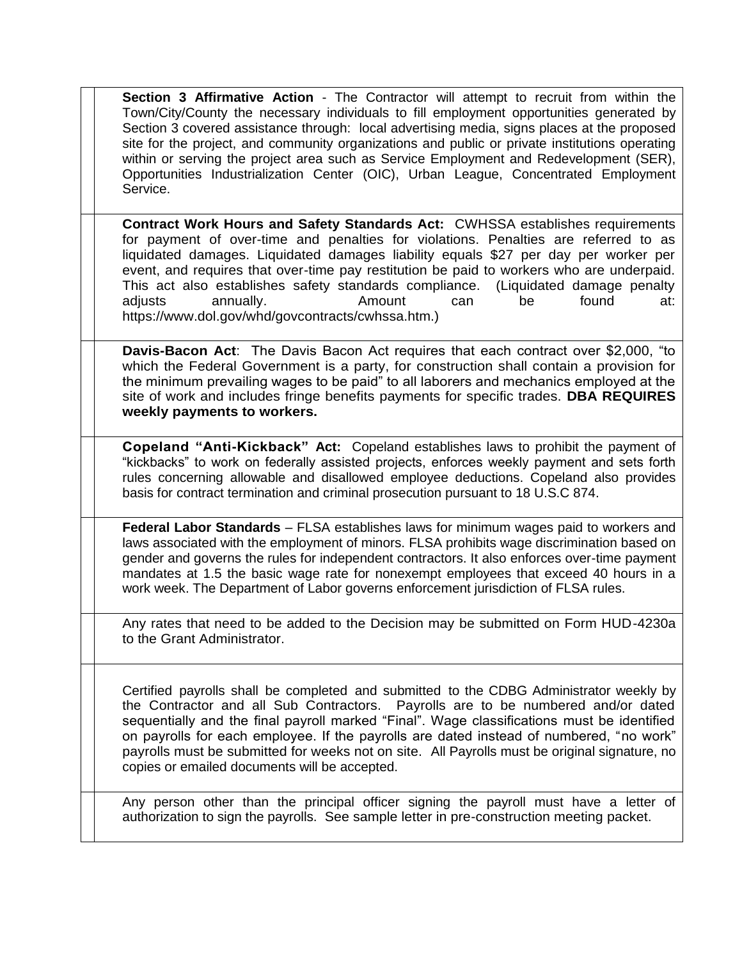**Section 3 Affirmative Action** - The Contractor will attempt to recruit from within the Town/City/County the necessary individuals to fill employment opportunities generated by Section 3 covered assistance through: local advertising media, signs places at the proposed site for the project, and community organizations and public or private institutions operating within or serving the project area such as Service Employment and Redevelopment (SER), Opportunities Industrialization Center (OIC), Urban League, Concentrated Employment Service.

**Contract Work Hours and Safety Standards Act:** CWHSSA establishes requirements for payment of over-time and penalties for violations. Penalties are referred to as liquidated damages. Liquidated damages liability equals \$27 per day per worker per event, and requires that over-time pay restitution be paid to workers who are underpaid. This act also establishes safety standards compliance. (Liquidated damage penalty adjusts annually. Amount can be found at: https://www.dol.gov/whd/govcontracts/cwhssa.htm.)

**Davis-Bacon Act**: The Davis Bacon Act requires that each contract over \$2,000, "to which the Federal Government is a party, for construction shall contain a provision for the minimum prevailing wages to be paid" to all laborers and mechanics employed at the site of work and includes fringe benefits payments for specific trades. **DBA REQUIRES weekly payments to workers.**

**Copeland "Anti-Kickback" Act:** Copeland establishes laws to prohibit the payment of "kickbacks" to work on federally assisted projects, enforces weekly payment and sets forth rules concerning allowable and disallowed employee deductions. Copeland also provides basis for contract termination and criminal prosecution pursuant to 18 U.S.C 874.

**Federal Labor Standards** – FLSA establishes laws for minimum wages paid to workers and laws associated with the employment of minors. FLSA prohibits wage discrimination based on gender and governs the rules for independent contractors. It also enforces over-time payment mandates at 1.5 the basic wage rate for nonexempt employees that exceed 40 hours in a work week. The Department of Labor governs enforcement jurisdiction of FLSA rules.

Any rates that need to be added to the Decision may be submitted on Form HUD-4230a to the Grant Administrator.

Certified payrolls shall be completed and submitted to the CDBG Administrator weekly by the Contractor and all Sub Contractors. Payrolls are to be numbered and/or dated sequentially and the final payroll marked "Final". Wage classifications must be identified on payrolls for each employee. If the payrolls are dated instead of numbered, "no work" payrolls must be submitted for weeks not on site. All Payrolls must be original signature, no copies or emailed documents will be accepted.

Any person other than the principal officer signing the payroll must have a letter of authorization to sign the payrolls. See sample letter in pre-construction meeting packet.